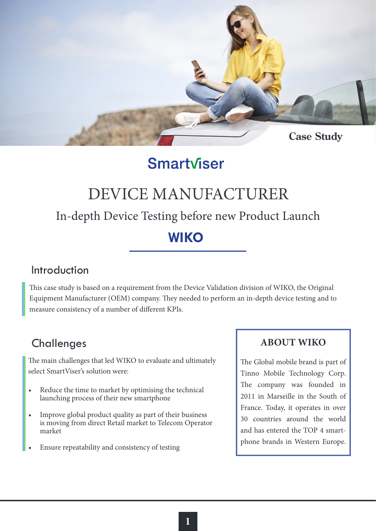

# Smartviser

# DEVICE MANUFACTURER

# In-depth Device Testing before new Product Launch

## **WIKO**

#### Introduction

This case study is based on a requirement from the Device Validation division of WIKO, the Original Equipment Manufacturer (OEM) company. They needed to perform an in-depth device testing and to measure consistency of a number of different KPIs.

## **Challenges**

The main challenges that led WIKO to evaluate and ultimately select SmartViser's solution were:

- Reduce the time to market by optimising the technical launching process of their new smartphone
- Improve global product quality as part of their business is moving from direct Retail market to Telecom Operator market
- Ensure repeatability and consistency of testing

#### **ABOUT WIKO**

The Global mobile brand is part of Tinno Mobile Technology Corp. The company was founded in 2011 in Marseille in the South of France. Today, it operates in over 30 countries around the world and has entered the TOP 4 smartphone brands in Western Europe.